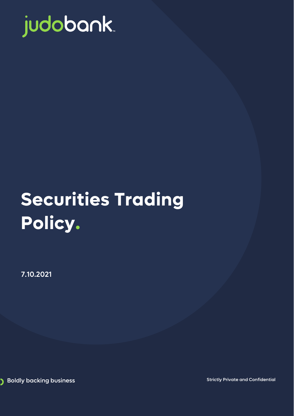

# **Securities Trading Policy.**

7.10.2021

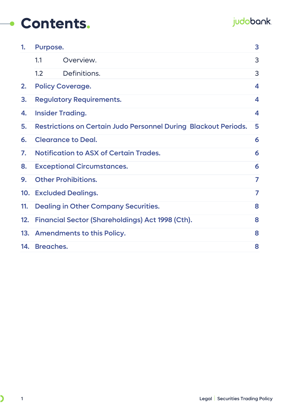### **Contents.**

#### judobank.

| 1.  | Purpose.                                                               |                                                         | 3 |
|-----|------------------------------------------------------------------------|---------------------------------------------------------|---|
|     | 1.1                                                                    | Overview.                                               | 3 |
|     | 1.2                                                                    | Definitions.                                            | 3 |
| 2.  |                                                                        | <b>Policy Coverage.</b>                                 | 4 |
| 3.  | <b>Regulatory Requirements.</b>                                        |                                                         | 4 |
| 4.  | <b>Insider Trading.</b>                                                |                                                         | 4 |
| 5.  | <b>Restrictions on Certain Judo Personnel During Blackout Periods.</b> |                                                         | 5 |
| 6.  | <b>Clearance to Deal.</b>                                              |                                                         | 6 |
| 7.  |                                                                        | <b>Notification to ASX of Certain Trades.</b>           | 6 |
| 8.  | <b>Exceptional Circumstances.</b>                                      |                                                         | 6 |
| 9.  |                                                                        | <b>Other Prohibitions.</b>                              | 7 |
|     |                                                                        | 10. Excluded Dealings.                                  | 7 |
| 11. |                                                                        | <b>Dealing in Other Company Securities.</b>             | 8 |
| 12. |                                                                        | <b>Financial Sector (Shareholdings) Act 1998 (Cth).</b> | 8 |
|     |                                                                        | 13. Amendments to this Policy.                          | 8 |
|     | 14. Breaches.                                                          |                                                         | 8 |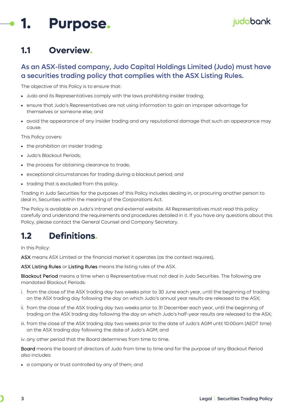### <span id="page-2-0"></span>**1. Purpose.**

#### <span id="page-2-1"></span>**1.1 Overview.**

#### As an ASX-listed company, Judo Capital Holdings Limited (Judo) must have a securities trading policy that complies with the ASX Listing Rules.

The objective of this Policy is to ensure that:

- Judo and its Representatives comply with the laws prohibiting insider trading;
- ensure that Judo's Representatives are not using information to gain an improper advantage for themselves or someone else; and
- avoid the appearance of any insider trading and any reputational damage that such an appearance may cause.

This Policy covers:

- the prohibition on insider trading;
- Judo's Blackout Periods;
- the process for obtaining clearance to trade;
- exceptional circumstances for trading during a blackout period; and
- trading that is excluded from this policy.

Trading in Judo Securities for the purposes of this Policy includes dealing in, or procuring another person to deal in, Securities within the meaning of the Corporations Act.

The Policy is available on Judo's intranet and external website. All Representatives must read this policy carefully and understand the requirements and procedures detailed in it. If you have any questions about this Policy, please contact the General Counsel and Company Secretary.

#### <span id="page-2-2"></span>**1.2 Definitions.**

In this Policy:

ASX means ASX Limited or the financial market it operates (as the context requires).

ASX Listing Rules or Listing Rules means the listing rules of the ASX.

Blackout Period means a time when a Representative must not deal in Judo Securities. The following are mandated Blackout Periods:

- i. from the close of the ASX trading day two weeks prior to 30 June each year, until the beginning of trading on the ASX trading day following the day on which Judo's annual year results are released to the ASX;
- ii. from the close of the ASX trading day two weeks prior to 31 December each year, until the beginning of trading on the ASX trading day following the day on which Judo's half-year results are released to the ASX;
- iii. from the close of the ASX trading day two weeks prior to the date of Judo's AGM until 10:00am (AEDT time) on the ASX trading day following the date of Judo's AGM; and

iv. any other period that the Board determines from time to time.

Board means the board of directors of Judo from time to time and for the purpose of any Blackout Period also includes:

• a company or trust controlled by any of them; and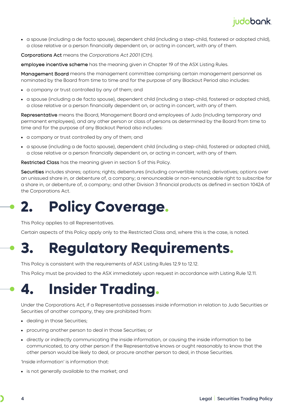#### judobank.

• a spouse (including a de facto spouse), dependent child (including a step-child, fostered or adopted child), a close relative or a person financially dependent on, or acting in concert, with any of them.

Corporations Act means the *Corporations Act 2001* (Cth).

employee incentive scheme has the meaning given in Chapter 19 of the ASX Listing Rules.

Management Board means the management committee comprising certain management personnel as nominated by the Board from time to time and for the purpose of any Blackout Period also includes:

- a company or trust controlled by any of them; and
- a spouse (including a de facto spouse), dependent child (including a step-child, fostered or adopted child), a close relative or a person financially dependent on, or acting in concert, with any of them.

Representative means the Board, Management Board and employees of Judo (including temporary and permanent employees), and any other person or class of persons as determined by the Board from time to time and for the purpose of any Blackout Period also includes:

- a company or trust controlled by any of them; and
- a spouse (including a de facto spouse), dependent child (including a step-child, fostered or adopted child), a close relative or a person financially dependent on, or acting in concert, with any of them.

Restricted Class has the meaning given in section [5](#page-4-0) of this Policy.

Securities includes shares; options; rights; debentures (including convertible notes); derivatives; options over an unissued share in, or debenture of, a company; a renounceable or non-renounceable right to subscribe for a share in, or debenture of, a company; and other Division 3 financial products as defined in section 1042A of the Corporations Act.

### <span id="page-3-0"></span>**2. Policy Coverage.**

This Policy applies to all Representatives.

Certain aspects of this Policy apply only to the Restricted Class and, where this is the case, is noted.

### <span id="page-3-1"></span>**3. Regulatory Requirements.**

This Policy is consistent with the requirements of ASX Listing Rules 12.9 to 12.12.

This Policy must be provided to the ASX immediately upon request in accordance with Listing Rule 12.11.

### <span id="page-3-2"></span>**4. Insider Trading.**

Under the Corporations Act, if a Representative possesses inside information in relation to Judo Securities or Securities of another company, they are prohibited from:

- dealing in those Securities;
- procuring another person to deal in those Securities; or
- directly or indirectly communicating the inside information, or causing the inside information to be communicated, to any other person if the Representative knows or ought reasonably to know that the other person would be likely to deal, or procure another person to deal, in those Securities.

'Inside information' is information that:

• is not generally available to the market: and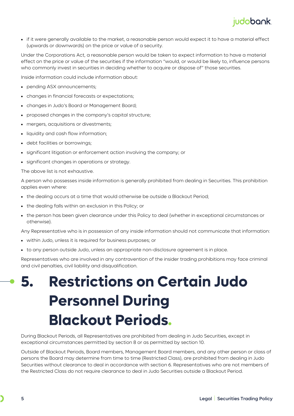

• if it were generally available to the market, a reasonable person would expect it to have a material effect (upwards or downwards) on the price or value of a security.

Under the Corporations Act, a reasonable person would be taken to expect information to have a material effect on the price or value of the securities if the information "would, or would be likely to, influence persons who commonly invest in securities in deciding whether to acquire or dispose of" those securities.

Inside information could include information about:

- pending ASX announcements:
- changes in financial forecasts or expectations;
- changes in Judo's Board or Management Board;
- proposed changes in the company's capital structure;
- mergers, acquisitions or divestments;
- liquidity and cash flow information;
- debt facilities or borrowings;
- significant litigation or enforcement action involving the company; or
- significant changes in operations or strategy.

The above list is not exhaustive.

A person who possesses inside information is generally prohibited from dealing in Securities. This prohibition applies even where:

- the dealing occurs at a time that would otherwise be outside a Blackout Period;
- the dealing falls within an exclusion in this Policy; or
- the person has been given clearance under this Policy to deal (whether in exceptional circumstances or otherwise).

Any Representative who is in possession of any inside information should not communicate that information:

- within Judo, unless it is required for business purposes; or
- to any person outside Judo, unless an appropriate non-disclosure agreement is in place.

Representatives who are involved in any contravention of the insider trading prohibitions may face criminal and civil penalties, civil liability and disqualification.

## <span id="page-4-0"></span>**5. Restrictions on Certain Judo Personnel During Blackout Periods.**

During Blackout Periods, all Representatives are prohibited from dealing in Judo Securities, except in exceptional circumstances permitted by section [8](#page-5-2) or as permitted by section [10.](#page-6-1)

Outside of Blackout Periods, Board members, Management Board members, and any other person or class of persons the Board may determine from time to time (Restricted Class), are prohibited from dealing in Judo Securities without clearance to deal in accordance with section [6.](#page-5-0) Representatives who are not members of the Restricted Class do not require clearance to deal in Judo Securities outside a Blackout Period.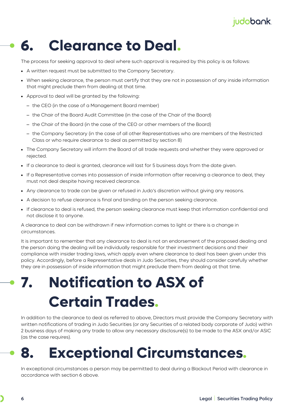#### judobank.

### <span id="page-5-0"></span>**6. Clearance to Deal.**

The process for seeking approval to deal where such approval is required by this policy is as follows:

- A written request must be submitted to the Company Secretary.
- When seeking clearance, the person must certify that they are not in possession of any inside information that might preclude them from dealing at that time.
- Approval to deal will be granted by the following:
	- the CEO (in the case of a Management Board member)
	- the Chair of the Board Audit Committee (in the case of the Chair of the Board)
	- the Chair of the Board (in the case of the CEO or other members of the Board)
	- the Company Secretary (in the case of all other Representatives who are members of the Restricted Class or who require clearance to deal as permitted by section 8)
- The Company Secretary will inform the Board of all trade requests and whether they were approved or rejected.
- If a clearance to deal is granted, clearance will last for 5 business days from the date given.
- If a Representative comes into possession of inside information after receiving a clearance to deal, they must not deal despite having received clearance.
- Any clearance to trade can be given or refused in Judo's discretion without giving any reasons.
- A decision to refuse clearance is final and binding on the person seeking clearance.
- If clearance to deal is refused, the person seeking clearance must keep that information confidential and not disclose it to anyone.

A clearance to deal can be withdrawn if new information comes to light or there is a change in circumstances.

It is important to remember that any clearance to deal is not an endorsement of the proposed dealing and the person doing the dealing will be individually responsible for their investment decisions and their compliance with insider trading laws, which apply even where clearance to deal has been given under this policy. Accordingly, before a Representative deals in Judo Securities, they should consider carefully whether they are in possession of inside information that might preclude them from dealing at that time.

# <span id="page-5-1"></span>**7. Notification to ASX of Certain Trades.**

In addition to the clearance to deal as referred to above, Directors must provide the Company Secretary with written notifications of trading in Judo Securities (or any Securities of a related body corporate of Judo) within 2 business days of making any trade to allow any necessary disclosure(s) to be made to the ASX and/or ASIC (as the case requires).

### <span id="page-5-2"></span>**8. Exceptional Circumstances.**

In exceptional circumstances a person may be permitted to deal during a Blackout Period with clearance in accordance with section [6](#page-5-0) above.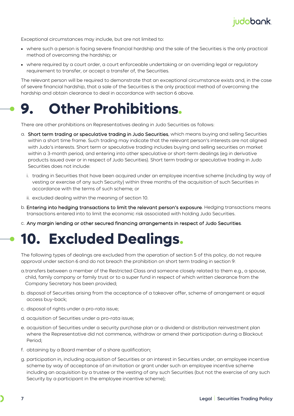

Exceptional circumstances may include, but are not limited to:

- where such a person is facing severe financial hardship and the sale of the Securities is the only practical method of overcoming the hardship; or
- where required by a court order, a court enforceable undertaking or an overriding legal or regulatory requirement to transfer, or accept a transfer of, the Securities.

The relevant person will be required to demonstrate that an exceptional circumstance exists and, in the case of severe financial hardship, that a sale of the Securities is the only practical method of overcoming the hardship and obtain clearance to deal in accordance with section [6](#page-5-0) above.

### <span id="page-6-0"></span>**9. Other Prohibitions.**

There are other prohibitions on Representatives dealing in Judo Securities as follows:

- a. Short term trading or speculative trading in Judo Securities, which means buying and selling Securities within a short time frame. Such trading may indicate that the relevant person's interests are not aligned with Judo's interests. Short term or speculative trading includes buying and selling securities on market within a 3-month period, and entering into other speculative or short-term dealings (eg in derivative products issued over or in respect of Judo Securities). Short term trading or speculative trading in Judo Securities does not include:
	- i. trading in Securities that have been acquired under an employee incentive scheme (including by way of vesting or exercise of any such Security) within three months of the acquisition of such Securities in accordance with the terms of such scheme; or
	- ii. excluded dealing within the meaning of section [10.](#page-6-1)
- b. Entering into hedging transactions to limit the relevant person's exposure. Hedging transactions means transactions entered into to limit the economic risk associated with holding Judo Securities.
- c. Any margin lending or other secured financing arrangements in respect of Judo Securities.

### <span id="page-6-1"></span>**10. Excluded Dealings.**

The following types of dealings are excluded from the operation of sectio[n 5](#page-4-0) of this policy, do not require approval under section [6](#page-5-0) and do not breach the prohibition on short term trading in section [9:](#page-6-0)

- a.transfers between a member of the Restricted Class and someone closely related to them e.g., a spouse, child, family company or family trust or to a super fund in respect of which written clearance from the Company Secretary has been provided;
- b. disposal of Securities arising from the acceptance of a takeover offer, scheme of arrangement or equal access buy-back;
- c. disposal of rights under a pro-rata issue;
- d. acquisition of Securities under a pro-rata issue;
- e. acquisition of Securities under a security purchase plan or a dividend or distribution reinvestment plan where the Representative did not commence, withdraw or amend their participation during a Blackout Period;
- f. obtaining by a Board member of a share qualification;
- g. participation in, including acquisition of Securities or an interest in Securities under, an employee incentive scheme by way of acceptance of an invitation or grant under such an employee incentive scheme including an acquisition by a trustee or the vesting of any such Securities (but not the exercise of any such Security by a participant in the employee incentive scheme);